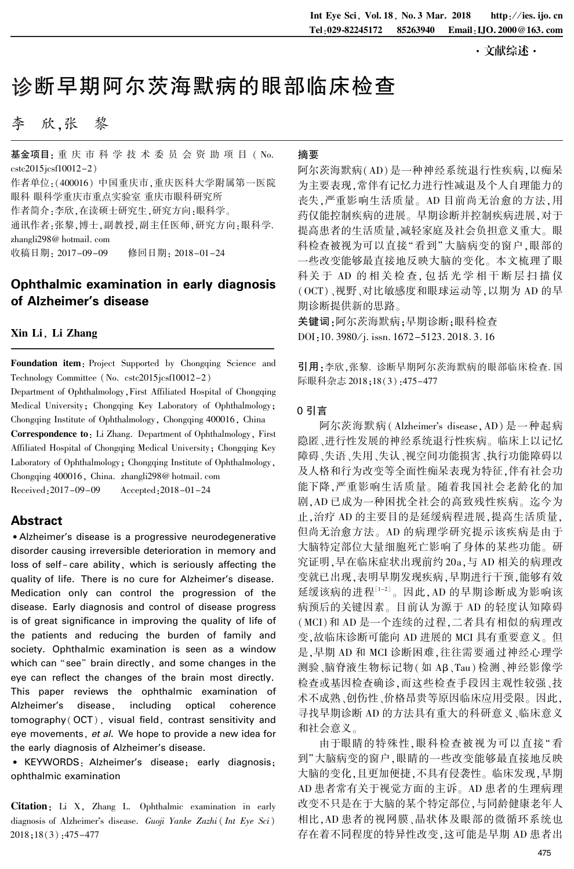·文献综述·

# 诊断早期阿尔茨海默病的眼部临床检查

# 李 欣,张 黎

基金项目: 重 庆 市 科 学 技 术 委 员 会 资 助 项 目 ( No. cstc2015jcsf10012-2) 作者单位:(400016) 中国重庆市,重庆医科大学附属第一医院

眼科 眼科学重庆市重点实验室 重庆市眼科研究所

作者简介:李欣,在读硕士研究生,研究方向:眼科学。

通讯作者:张黎,博士,副教授,副主任医师,研究方向:眼科学. zhangli298@ hotmail. com

收稿日期: 2017-09-09 修回日期: 2018-01-24

# Ophthalmic examination in early diagnosis of Alzheimer's disease

## Xin Li, Li Zhang

Foundation item: Project Supported by Chongqing Science and Technology Committee (No. cstc2015jcsf10012-2)

Department of Ophthalmology,First Affiliated Hospital of Chongqing Medical University; Chongqing Key Laboratory of Ophthalmology; Chongqing Institute of Ophthalmology, Chongqing 400016, China Correspondence to: Li Zhang. Department of Ophthalmology, First Affiliated Hospital of Chongqing Medical University; Chongqing Key Laboratory of Ophthalmology; Chongqing Institute of Ophthalmology, Chongqing 400016, China. zhangli298@ hotmail. com

Received:2017-09-09 Accepted:2018-01-24

# Abstract

• Alzheimer's disease is a progressive neurodegenerative disorder causing irreversible deterioration in memory and loss of self-care ability, which is seriously affecting the quality of life. There is no cure for Alzheimer's disease. Medication only can control the progression of the disease. Early diagnosis and control of disease progress is of great significance in improving the quality of life of the patients and reducing the burden of family and society. Ophthalmic examination is seen as a window which can "see" brain directly, and some changes in the eye can reflect the changes of the brain most directly. This paper reviews the ophthalmic examination of Alzheimer's disease, including optical coherence tomography( OCT), visual field, contrast sensitivity and eye movements, et al. We hope to provide a new idea for the early diagnosis of Alzheimer's disease.

• KEYWORDS: Alzheimer's disease; early diagnosis; ophthalmic examination

Citation: Li X, Zhang L. Ophthalmic examination in early diagnosis of Alzheimer's disease. Guoji Yanke Zazhi (Int Eye Sci) 2018;18(3):475-477

#### 摘要

阿尔茨海默病(AD)是一种神经系统退行性疾病,以痴呆 为主要表现,常伴有记忆力进行性减退及个人自理能力的 丧失,严重影响生活质量。 AD 目前尚无治愈的方法,用 药仅能控制疾病的进展。 早期诊断并控制疾病进展,对于 提高患者的生活质量,减轻家庭及社会负担意义重大。 眼 科检查被视为可以直接"看到"大脑病变的窗户,眼部的 一些改变能够最直接地反映大脑的变化。 本文梳理了眼 科关于 AD 的相关检查, 包括光学相干断层扫描仪 (OCT)、视野、对比敏感度和眼球运动等,以期为 AD 的早 期诊断提供新的思路。

关键词:阿尔茨海默病;早期诊断;眼科检查 DOI:10. 3980/j. issn. 1672-5123. 2018. 3. 16

引用:李欣,张黎. 诊断早期阿尔茨海默病的眼部临床检查. 国 际眼科杂志 2018;18(3):475-477

#### 0 引言

阿尔茨海默病(Alzheimer's disease, AD) 是一种起病 隐匿、进行性发展的神经系统退行性疾病。 临床上以记忆 障碍、失语、失用、失认、视空间功能损害、执行功能障碍以 及人格和行为改变等全面性痴呆表现为特征,伴有社会功 能下降,严重影响生活质量。 随着我国社会老龄化的加 剧,AD 已成为一种困扰全社会的高致残性疾病。 迄今为 止,治疗 AD 的主要目的是延缓病程进展,提高生活质量, 但尚无治愈方法。 AD 的病理学研究提示该疾病是由于 大脑特定部位大量细胞死亡影响了身体的某些功能。 研 究证明,早在临床症状出现前约 20a,与 AD 相关的病理改 变就已出现,表明早期发现疾病,早期进行干预,能够有效 延缓该病的进程[1-2]。因此,AD 的早期诊断成为影响该 病预后的关键因素。 目前认为源于 AD 的轻度认知障碍 (MCI)和 AD 是一个连续的过程,二者具有相似的病理改 变,故临床诊断可能向 AD 进展的 MCI 具有重要意义。 但 是,早期 AD 和 MCI 诊断困难,往往需要通过神经心理学 测验、脑脊液生物标记物(如 Aβ、Tau)检测、神经影像学 检查或基因检查确诊,而这些检查手段因主观性较强、技 术不成熟、创伤性、价格昂贵等原因临床应用受限。 因此, 寻找早期诊断 AD 的方法具有重大的科研意义、临床意义 和社会意义。

由于眼睛的特殊性,眼科检查被视为可以直接" 看 到"大脑病变的窗户,眼睛的一些改变能够最直接地反映 大脑的变化,且更加便捷,不具有侵袭性。 临床发现,早期 AD 患者常有关于视觉方面的主诉。 AD 患者的生理病理 改变不只是在于大脑的某个特定部位,与同龄健康老年人 相比,AD 患者的视网膜、晶状体及眼部的微循环系统也 存在着不同程度的特异性改变,这可能是早期 AD 患者出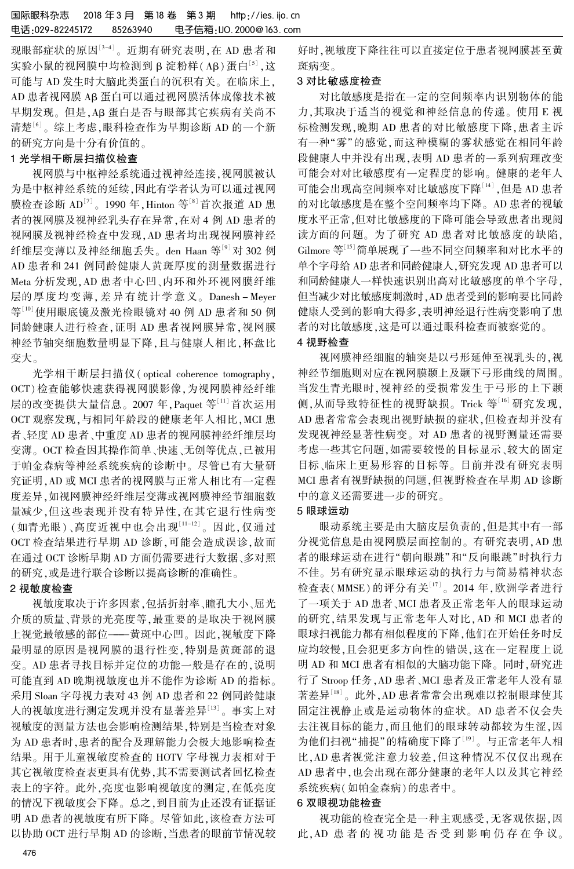现眼部症状的原因<sup>[3-4]</sup>。近期有研究表明,在 AD 患者和 实验小鼠的视网膜中均检测到β淀粉样(Aβ)蛋白[3],这 可能与 AD 发生时大脑此类蛋白的沉积有关。 在临床上, AD 患者视网膜 AB 蛋白可以通过视网膜活体成像技术被 早期发现。但是,AB 蛋白是否与眼部其它疾病有关尚不 清楚<sup>[6]</sup> 。综上考虑,眼科检查作为早期诊断 AD 的一个新 的研究方向是十分有价值的。

## 1 光学相干断层扫描仪检查

视网膜与中枢神经系统通过视神经连接,视网膜被认 为是中枢神经系统的延续,因此有学者认为可以通过视网 膜检查诊断 AD<sup>[7]</sup> 。1990 年 , Hinton 等<sup>[8]</sup> 首次报道 AD 患 者的视网膜及视神经乳头存在异常,在对 4 例 AD 患者的 视网膜及视神经检查中发现,AD 患者均出现视网膜神经 纤维层变薄以及神经细胞丢失。 den Haan 等[9] 对 302 例 AD 患者和 241 例同龄健康人黄斑厚度的测量数据进行 Meta 分析发现,AD 患者中心凹、内环和外环视网膜纤维 层的厚 度 均 变 薄, 差 异 有 统 计 学 意 义。 Danesh - Meyer 等[10]使用眼底镜及激光检眼镜对 40 例 AD 患者和 50 例 同龄健康人进行检查,证明 AD 患者视网膜异常,视网膜 神经节轴突细胞数量明显下降,且与健康人相比,杯盘比 变大。

光学相干断层扫描仪( optical coherence tomography, OCT)检查能够快速获得视网膜影像,为视网膜神经纤维 层的改变提供大量信息。 2007 年,Paquet 等[11] 首次运用 OCT 观察发现,与相同年龄段的健康老年人相比,MCI 患 者、轻度 AD 患者、中重度 AD 患者的视网膜神经纤维层均 变薄。 OCT 检查因其操作简单、快速、无创等优点,已被用 于帕金森病等神经系统疾病的诊断中。 尽管已有大量研 究证明,AD 或 MCI 患者的视网膜与正常人相比有一定程 度差异,如视网膜神经纤维层变薄或视网膜神经节细胞数 量减少,但这些表现并没有特异性,在其它退行性病变 (如青光眼)、高度近视中也会出现[11-12]。因此,仅通过 OCT 检查结果进行早期 AD 诊断,可能会造成误诊,故而 在通过 OCT 诊断早期 AD 方面仍需要进行大数据、多对照 的研究,或是进行联合诊断以提高诊断的准确性。

## 2 视敏度检查

视敏度取决于许多因素,包括折射率、瞳孔大小、屈光 介质的质量、背景的光亮度等,最重要的是取决于视网膜 上视觉最敏感的部位———黄斑中心凹。 因此,视敏度下降 最明显的原因是视网膜的退行性变,特别是黄斑部的退 变。 AD 患者寻找目标并定位的功能一般是存在的,说明 可能直到 AD 晚期视敏度也并不能作为诊断 AD 的指标。 采用 Sloan 字母视力表对 43 例 AD 患者和 22 例同龄健康 人的视敏度进行测定发现并没有显著差异[13] 。 事实上对 视敏度的测量方法也会影响检测结果,特别是当检查对象 为 AD 患者时,患者的配合及理解能力会极大地影响检查 结果。 用于儿童视敏度检查的 HOTV 字母视力表相对于 其它视敏度检查表更具有优势,其不需要测试者回忆检查 表上的字符。 此外,亮度也影响视敏度的测定,在低亮度 的情况下视敏度会下降。 总之,到目前为止还没有证据证 明 AD 患者的视敏度有所下降。 尽管如此,该检查方法可 以协助 OCT 进行早期 AD 的诊断,当患者的眼前节情况较 好时,视敏度下降往往可以直接定位于患者视网膜甚至黄 斑病变。

# 3 对比敏感度检查

对比敏感度是指在一定的空间频率内识别物体的能 力,其取决于适当的视觉和神经信息的传递。 使用 E 视 标检测发现,晚期 AD 患者的对比敏感度下降,患者主诉 有一种"雾"的感觉,而这种模糊的雾状感觉在相同年龄 段健康人中并没有出现,表明 AD 患者的一系列病理改变 可能会对对比敏感度有一定程度的影响。 健康的老年人 可能会出现高空间频率对比敏感度下降[14] ,但是 AD 患者 的对比敏感度是在整个空间频率均下降。 AD 患者的视敏 度水平正常,但对比敏感度的下降可能会导致患者出现阅 读方面的问题。 为了研究 AD 患者对比敏感度的缺陷, Gilmore 等[15]简单展现了一些不同空间频率和对比水平的 单个字母给 AD 患者和同龄健康人,研究发现 AD 患者可以 和同龄健康人一样快速识别出高对比敏感度的单个字母, 但当减少对比敏感度刺激时,AD 患者受到的影响要比同龄 健康人受到的影响大得多,表明神经退行性病变影响了患 者的对比敏感度,这是可以通过眼科检查而被察觉的。

### 4 视野检查

视网膜神经细胞的轴突是以弓形延伸至视乳头的,视 神经节细胞则对应在视网膜颞上及颞下弓形曲线的周围。 当发生青光眼时,视神经的受损常发生于弓形的上下颞 侧,从而导致特征性的视野缺损。 Trick 等[16] 研究发现, AD 患者常常会表现出视野缺损的症状,但检查却并没有 发现视神经显著性病变。 对 AD 患者的视野测量还需要 考虑一些其它问题,如需要较慢的目标显示、较大的固定 目标、临床上更易形容的目标等。 目前并没有研究表明 MCI 患者有视野缺损的问题,但视野检查在早期 AD 诊断 中的意义还需要进一步的研究。

#### 5 眼球运动

眼动系统主要是由大脑皮层负责的,但是其中有一部 分视觉信息是由视网膜层面控制的。 有研究表明,AD 患 者的眼球运动在进行"朝向眼跳"和"反向眼跳"时执行力 不佳。 另有研究显示眼球运动的执行力与简易精神状态 检查表(MMSE)的评分有关 $^{\text{\tiny{[1]}} }$ 。2014 年,欧洲学者进行 了一项关于 AD 患者、MCI 患者及正常老年人的眼球运动 的研究,结果发现与正常老年人对比,AD 和 MCI 患者的 眼球扫视能力都有相似程度的下降,他们在开始任务时反 应均较慢,且会犯更多方向性的错误,这在一定程度上说 明 AD 和 MCI 患者有相似的大脑功能下降。 同时,研究进 行了 Stroop 任务,AD 患者、MCI 患者及正常老年人没有显 著差异<sup>[18]</sup>。此外,AD 患者常常会出现难以控制眼球使其 固定注视静止或是运动物体的症状。 AD 患者不仅会失 去注视目标的能力,而且他们的眼球转动都较为生涩,因 为他们扫视"捕捉"的精确度下降了<sup>[19]</sup>。与正常老年人相 比,AD 患者视觉注意力较差,但这种情况不仅仅出现在 AD 患者中,也会出现在部分健康的老年人以及其它神经 系统疾病(如帕金森病)的患者中。

#### 6 双眼视功能检查

视功能的检查完全是一种主观感受,无客观依据,因 此,AD 患 者 的 视 功 能 是 否 受 到 影 响 仍 存 在 争 议。